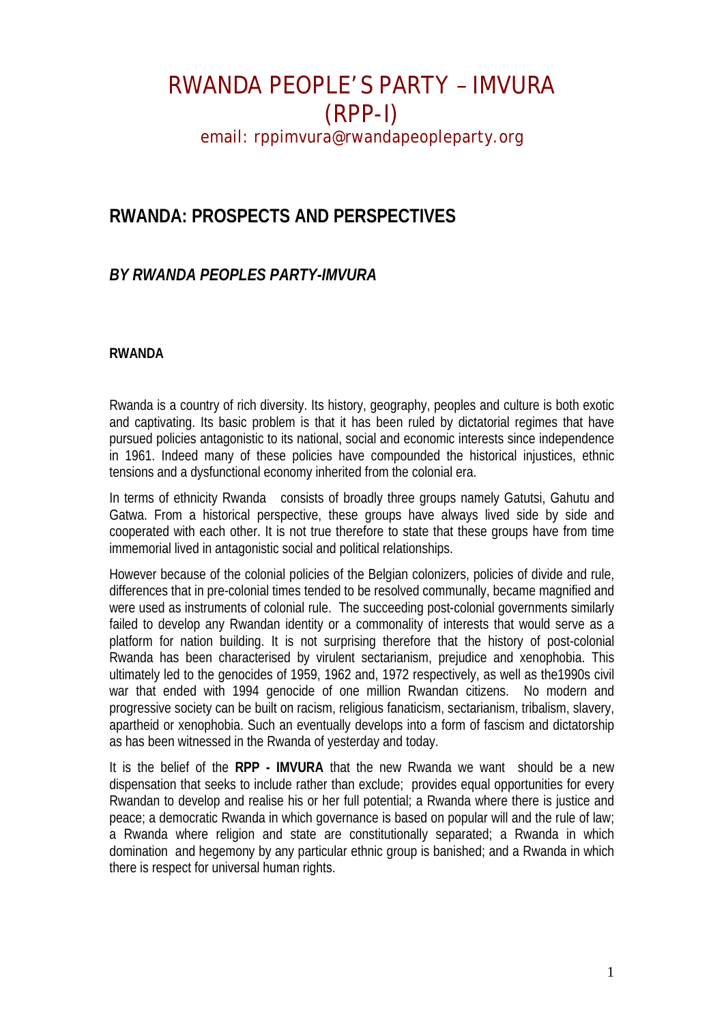### **RWANDA: PROSPECTS AND PERSPECTIVES**

### *BY RWANDA PEOPLES PARTY-IMVURA*

#### **RWANDA**

Rwanda is a country of rich diversity. Its history, geography, peoples and culture is both exotic and captivating. Its basic problem is that it has been ruled by dictatorial regimes that have pursued policies antagonistic to its national, social and economic interests since independence in 1961. Indeed many of these policies have compounded the historical injustices, ethnic tensions and a dysfunctional economy inherited from the colonial era.

In terms of ethnicity Rwanda consists of broadly three groups namely Gatutsi, Gahutu and Gatwa. From a historical perspective, these groups have always lived side by side and cooperated with each other. It is not true therefore to state that these groups have from time immemorial lived in antagonistic social and political relationships.

However because of the colonial policies of the Belgian colonizers, policies of divide and rule, differences that in pre-colonial times tended to be resolved communally, became magnified and were used as instruments of colonial rule. The succeeding post-colonial governments similarly failed to develop any Rwandan identity or a commonality of interests that would serve as a platform for nation building. It is not surprising therefore that the history of post-colonial Rwanda has been characterised by virulent sectarianism, prejudice and xenophobia. This ultimately led to the genocides of 1959, 1962 and, 1972 respectively, as well as the1990s civil war that ended with 1994 genocide of one million Rwandan citizens. No modern and progressive society can be built on racism, religious fanaticism, sectarianism, tribalism, slavery, apartheid or xenophobia. Such an eventually develops into a form of fascism and dictatorship as has been witnessed in the Rwanda of yesterday and today.

It is the belief of the **RPP - IMVURA** that the new Rwanda we want should be a new dispensation that seeks to include rather than exclude; provides equal opportunities for every Rwandan to develop and realise his or her full potential; a Rwanda where there is justice and peace; a democratic Rwanda in which governance is based on popular will and the rule of law; a Rwanda where religion and state are constitutionally separated; a Rwanda in which domination and hegemony by any particular ethnic group is banished; and a Rwanda in which there is respect for universal human rights.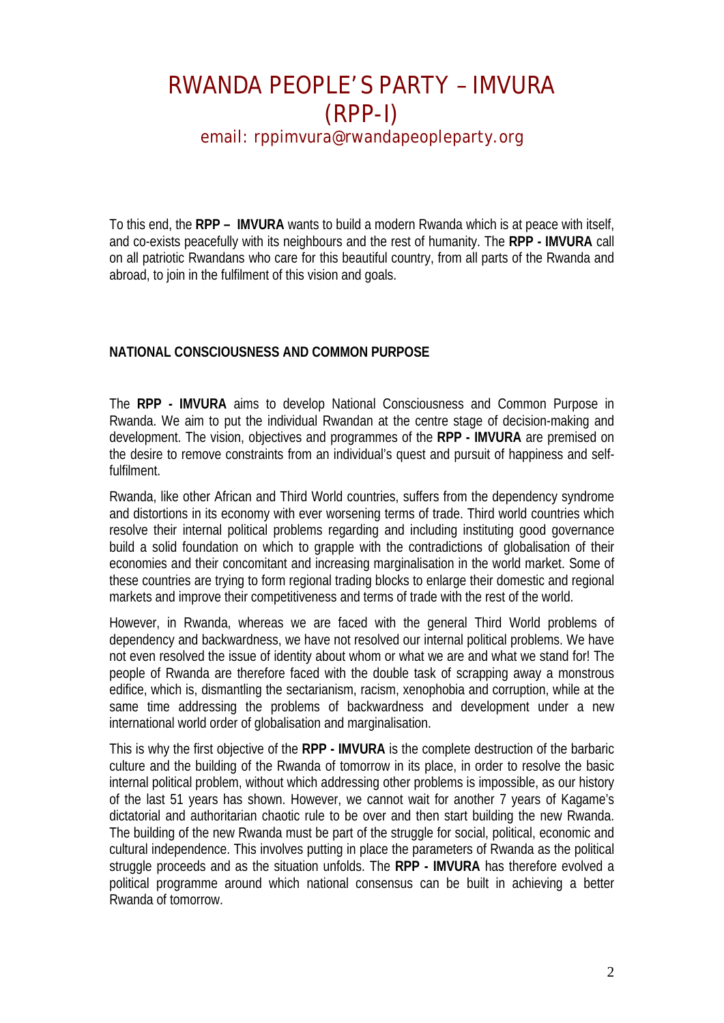# RWANDA PEOPLE'S PARTY – IMVURA (RPP-I)

email: rppimvura@rwandapeopleparty.org

To this end, the **RPP – IMVURA** wants to build a modern Rwanda which is at peace with itself, and co-exists peacefully with its neighbours and the rest of humanity. The **RPP - IMVURA** call on all patriotic Rwandans who care for this beautiful country, from all parts of the Rwanda and abroad, to join in the fulfilment of this vision and goals.

#### **NATIONAL CONSCIOUSNESS AND COMMON PURPOSE**

The **RPP - IMVURA** aims to develop National Consciousness and Common Purpose in Rwanda. We aim to put the individual Rwandan at the centre stage of decision-making and development. The vision, objectives and programmes of the **RPP - IMVURA** are premised on the desire to remove constraints from an individual's quest and pursuit of happiness and selffulfilment.

Rwanda, like other African and Third World countries, suffers from the dependency syndrome and distortions in its economy with ever worsening terms of trade. Third world countries which resolve their internal political problems regarding and including instituting good governance build a solid foundation on which to grapple with the contradictions of globalisation of their economies and their concomitant and increasing marginalisation in the world market. Some of these countries are trying to form regional trading blocks to enlarge their domestic and regional markets and improve their competitiveness and terms of trade with the rest of the world.

However, in Rwanda, whereas we are faced with the general Third World problems of dependency and backwardness, we have not resolved our internal political problems. We have not even resolved the issue of identity about whom or what we are and what we stand for! The people of Rwanda are therefore faced with the double task of scrapping away a monstrous edifice, which is, dismantling the sectarianism, racism, xenophobia and corruption, while at the same time addressing the problems of backwardness and development under a new international world order of globalisation and marginalisation.

This is why the first objective of the **RPP - IMVURA** is the complete destruction of the barbaric culture and the building of the Rwanda of tomorrow in its place, in order to resolve the basic internal political problem, without which addressing other problems is impossible, as our history of the last 51 years has shown. However, we cannot wait for another 7 years of Kagame's dictatorial and authoritarian chaotic rule to be over and then start building the new Rwanda. The building of the new Rwanda must be part of the struggle for social, political, economic and cultural independence. This involves putting in place the parameters of Rwanda as the political struggle proceeds and as the situation unfolds. The **RPP - IMVURA** has therefore evolved a political programme around which national consensus can be built in achieving a better Rwanda of tomorrow.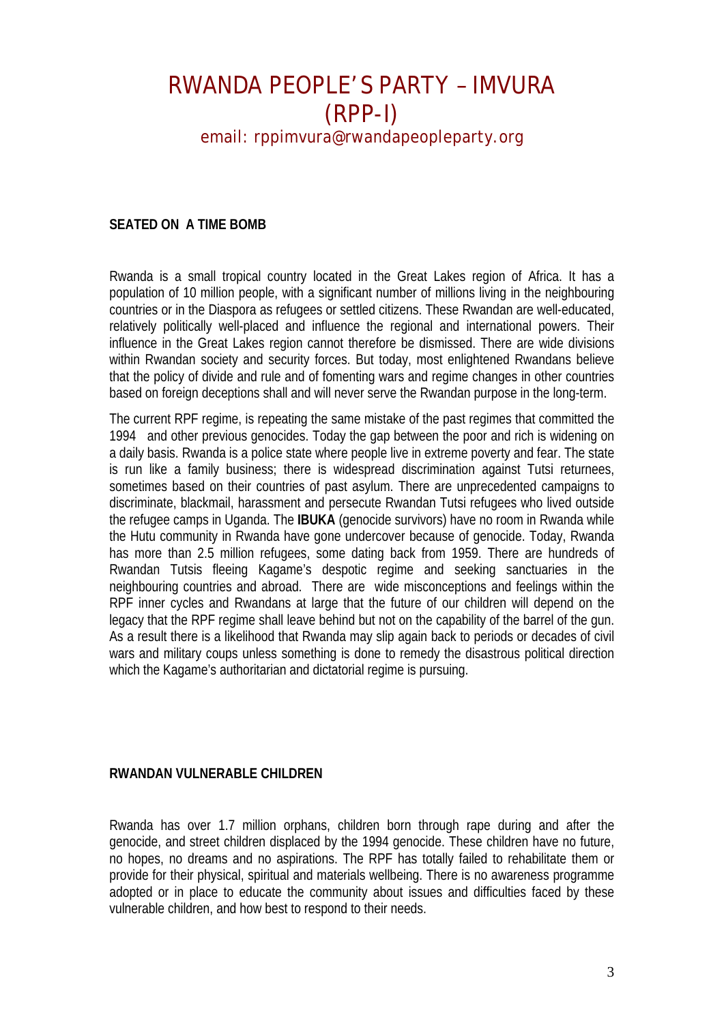#### **SEATED ON A TIME BOMB**

Rwanda is a small tropical country located in the Great Lakes region of Africa. It has a population of 10 million people, with a significant number of millions living in the neighbouring countries or in the Diaspora as refugees or settled citizens. These Rwandan are well-educated, relatively politically well-placed and influence the regional and international powers. Their influence in the Great Lakes region cannot therefore be dismissed. There are wide divisions within Rwandan society and security forces. But today, most enlightened Rwandans believe that the policy of divide and rule and of fomenting wars and regime changes in other countries based on foreign deceptions shall and will never serve the Rwandan purpose in the long-term.

The current RPF regime, is repeating the same mistake of the past regimes that committed the 1994 and other previous genocides. Today the gap between the poor and rich is widening on a daily basis. Rwanda is a police state where people live in extreme poverty and fear. The state is run like a family business; there is widespread discrimination against Tutsi returnees, sometimes based on their countries of past asylum. There are unprecedented campaigns to discriminate, blackmail, harassment and persecute Rwandan Tutsi refugees who lived outside the refugee camps in Uganda. The **IBUKA** (genocide survivors) have no room in Rwanda while the Hutu community in Rwanda have gone undercover because of genocide. Today, Rwanda has more than 2.5 million refugees, some dating back from 1959. There are hundreds of Rwandan Tutsis fleeing Kagame's despotic regime and seeking sanctuaries in the neighbouring countries and abroad. There are wide misconceptions and feelings within the RPF inner cycles and Rwandans at large that the future of our children will depend on the legacy that the RPF regime shall leave behind but not on the capability of the barrel of the gun. As a result there is a likelihood that Rwanda may slip again back to periods or decades of civil wars and military coups unless something is done to remedy the disastrous political direction which the Kagame's authoritarian and dictatorial regime is pursuing.

#### **RWANDAN VULNERABLE CHILDREN**

Rwanda has over 1.7 million orphans, children born through rape during and after the genocide, and street children displaced by the 1994 genocide. These children have no future, no hopes, no dreams and no aspirations. The RPF has totally failed to rehabilitate them or provide for their physical, spiritual and materials wellbeing. There is no awareness programme adopted or in place to educate the community about issues and difficulties faced by these vulnerable children, and how best to respond to their needs.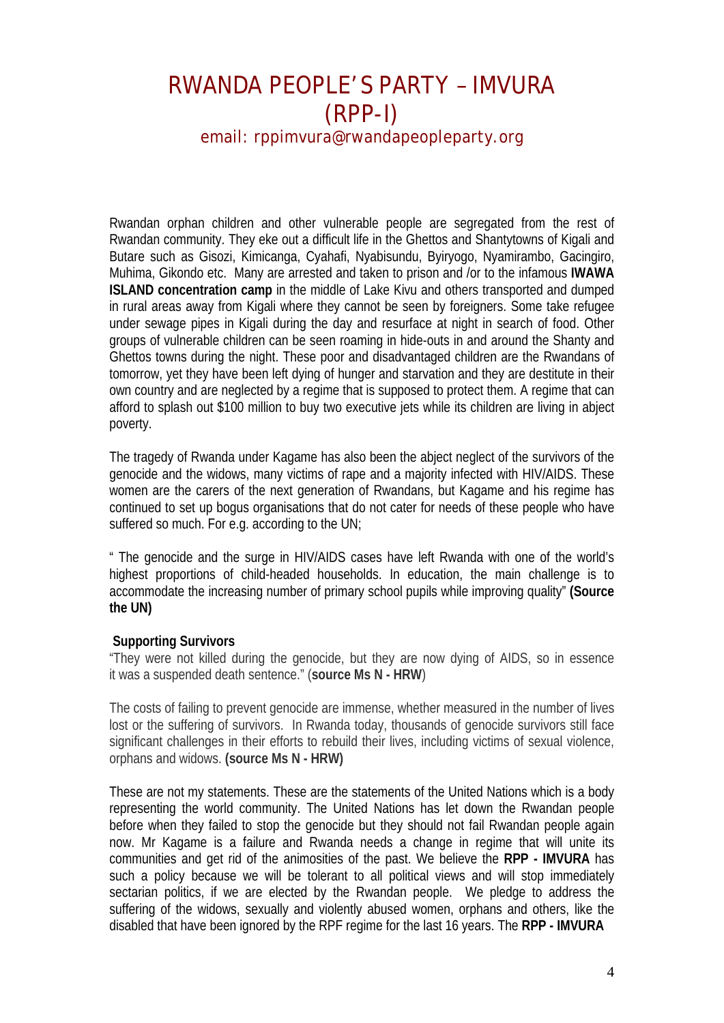Rwandan orphan children and other vulnerable people are segregated from the rest of Rwandan community. They eke out a difficult life in the Ghettos and Shantytowns of Kigali and Butare such as Gisozi, Kimicanga, Cyahafi, Nyabisundu, Byiryogo, Nyamirambo, Gacingiro, Muhima, Gikondo etc. Many are arrested and taken to prison and /or to the infamous **IWAWA ISLAND concentration camp** in the middle of Lake Kivu and others transported and dumped in rural areas away from Kigali where they cannot be seen by foreigners. Some take refugee under sewage pipes in Kigali during the day and resurface at night in search of food. Other groups of vulnerable children can be seen roaming in hide-outs in and around the Shanty and Ghettos towns during the night. These poor and disadvantaged children are the Rwandans of tomorrow, yet they have been left dying of hunger and starvation and they are destitute in their own country and are neglected by a regime that is supposed to protect them. A regime that can afford to splash out \$100 million to buy two executive jets while its children are living in abject poverty.

The tragedy of Rwanda under Kagame has also been the abject neglect of the survivors of the genocide and the widows, many victims of rape and a majority infected with HIV/AIDS. These women are the carers of the next generation of Rwandans, but Kagame and his regime has continued to set up bogus organisations that do not cater for needs of these people who have suffered so much. For e.g. according to the UN;

" The genocide and the surge in HIV/AIDS cases have left Rwanda with one of the world's highest proportions of child-headed households. In education, the main challenge is to accommodate the increasing number of primary school pupils while improving quality" **(Source the UN)**

#### **Supporting Survivors**

"They were not killed during the genocide, but they are now dying of AIDS, so in essence it was a suspended death sentence." (**source Ms N - HRW**)

The costs of failing to prevent genocide are immense, whether measured in the number of lives lost or the suffering of survivors. In Rwanda today, thousands of genocide survivors still face significant challenges in their efforts to rebuild their lives, including victims of sexual violence, orphans and widows. **(source Ms N - HRW)**

These are not my statements. These are the statements of the United Nations which is a body representing the world community. The United Nations has let down the Rwandan people before when they failed to stop the genocide but they should not fail Rwandan people again now. Mr Kagame is a failure and Rwanda needs a change in regime that will unite its communities and get rid of the animosities of the past. We believe the **RPP - IMVURA** has such a policy because we will be tolerant to all political views and will stop immediately sectarian politics, if we are elected by the Rwandan people. We pledge to address the suffering of the widows, sexually and violently abused women, orphans and others, like the disabled that have been ignored by the RPF regime for the last 16 years. The **RPP - IMVURA**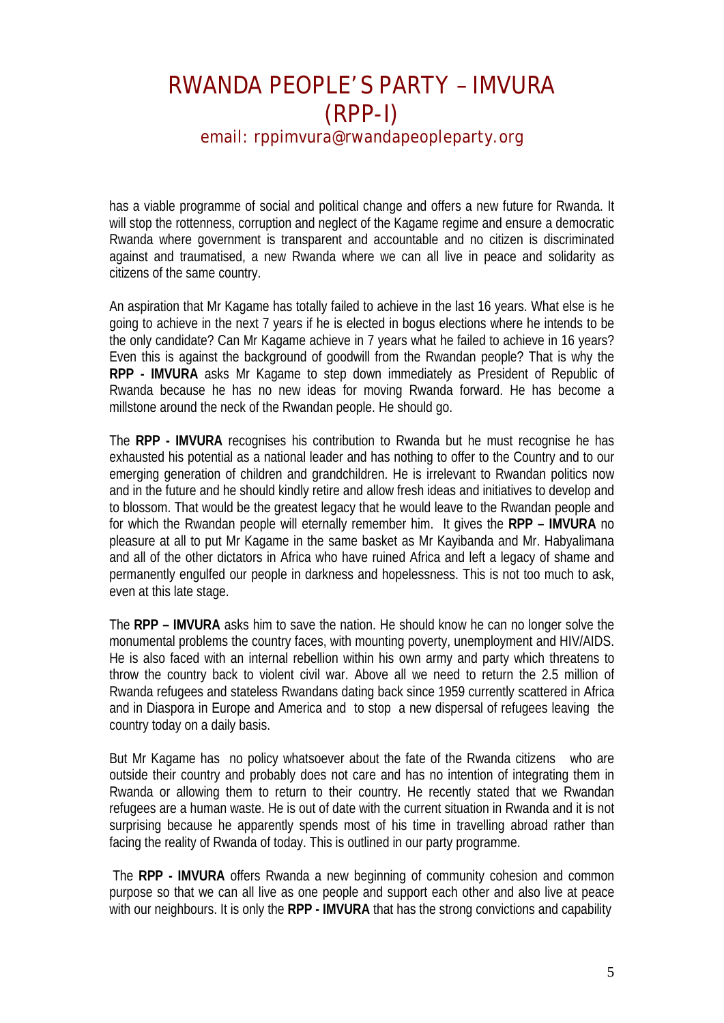has a viable programme of social and political change and offers a new future for Rwanda. It will stop the rottenness, corruption and neglect of the Kagame regime and ensure a democratic Rwanda where government is transparent and accountable and no citizen is discriminated against and traumatised, a new Rwanda where we can all live in peace and solidarity as citizens of the same country.

An aspiration that Mr Kagame has totally failed to achieve in the last 16 years. What else is he going to achieve in the next 7 years if he is elected in bogus elections where he intends to be the only candidate? Can Mr Kagame achieve in 7 years what he failed to achieve in 16 years? Even this is against the background of goodwill from the Rwandan people? That is why the **RPP - IMVURA** asks Mr Kagame to step down immediately as President of Republic of Rwanda because he has no new ideas for moving Rwanda forward. He has become a millstone around the neck of the Rwandan people. He should go.

The **RPP - IMVURA** recognises his contribution to Rwanda but he must recognise he has exhausted his potential as a national leader and has nothing to offer to the Country and to our emerging generation of children and grandchildren. He is irrelevant to Rwandan politics now and in the future and he should kindly retire and allow fresh ideas and initiatives to develop and to blossom. That would be the greatest legacy that he would leave to the Rwandan people and for which the Rwandan people will eternally remember him. It gives the **RPP – IMVURA** no pleasure at all to put Mr Kagame in the same basket as Mr Kayibanda and Mr. Habyalimana and all of the other dictators in Africa who have ruined Africa and left a legacy of shame and permanently engulfed our people in darkness and hopelessness. This is not too much to ask, even at this late stage.

The **RPP – IMVURA** asks him to save the nation. He should know he can no longer solve the monumental problems the country faces, with mounting poverty, unemployment and HIV/AIDS. He is also faced with an internal rebellion within his own army and party which threatens to throw the country back to violent civil war. Above all we need to return the 2.5 million of Rwanda refugees and stateless Rwandans dating back since 1959 currently scattered in Africa and in Diaspora in Europe and America and to stop a new dispersal of refugees leaving the country today on a daily basis.

But Mr Kagame has no policy whatsoever about the fate of the Rwanda citizens who are outside their country and probably does not care and has no intention of integrating them in Rwanda or allowing them to return to their country. He recently stated that we Rwandan refugees are a human waste. He is out of date with the current situation in Rwanda and it is not surprising because he apparently spends most of his time in travelling abroad rather than facing the reality of Rwanda of today. This is outlined in our party programme.

The **RPP - IMVURA** offers Rwanda a new beginning of community cohesion and common purpose so that we can all live as one people and support each other and also live at peace with our neighbours. It is only the **RPP - IMVURA** that has the strong convictions and capability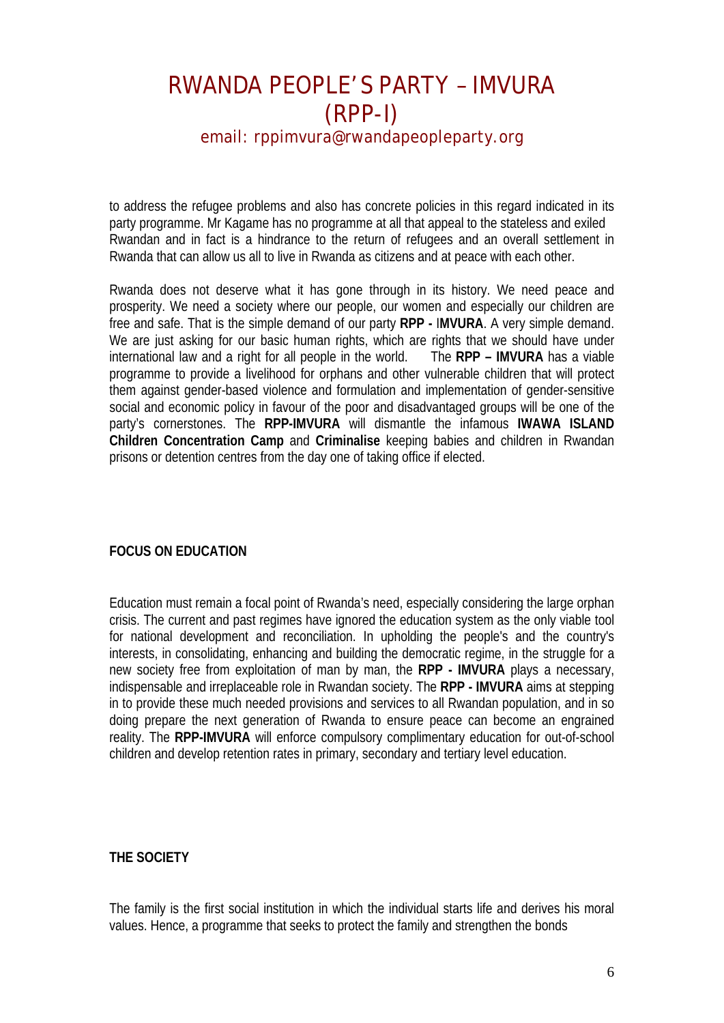to address the refugee problems and also has concrete policies in this regard indicated in its party programme. Mr Kagame has no programme at all that appeal to the stateless and exiled Rwandan and in fact is a hindrance to the return of refugees and an overall settlement in Rwanda that can allow us all to live in Rwanda as citizens and at peace with each other.

Rwanda does not deserve what it has gone through in its history. We need peace and prosperity. We need a society where our people, our women and especially our children are free and safe. That is the simple demand of our party **RPP -** I**MVURA**. A very simple demand. We are just asking for our basic human rights, which are rights that we should have under international law and a right for all people in the world. The **RPP – IMVURA** has a viable programme to provide a livelihood for orphans and other vulnerable children that will protect them against gender-based violence and formulation and implementation of gender-sensitive social and economic policy in favour of the poor and disadvantaged groups will be one of the party's cornerstones. The **RPP-IMVURA** will dismantle the infamous **IWAWA ISLAND Children Concentration Camp** and **Criminalise** keeping babies and children in Rwandan prisons or detention centres from the day one of taking office if elected.

#### **FOCUS ON EDUCATION**

Education must remain a focal point of Rwanda's need, especially considering the large orphan crisis. The current and past regimes have ignored the education system as the only viable tool for national development and reconciliation. In upholding the people's and the country's interests, in consolidating, enhancing and building the democratic regime, in the struggle for a new society free from exploitation of man by man, the **RPP - IMVURA** plays a necessary, indispensable and irreplaceable role in Rwandan society. The **RPP - IMVURA** aims at stepping in to provide these much needed provisions and services to all Rwandan population, and in so doing prepare the next generation of Rwanda to ensure peace can become an engrained reality. The **RPP-IMVURA** will enforce compulsory complimentary education for out-of-school children and develop retention rates in primary, secondary and tertiary level education.

#### **THE SOCIETY**

The family is the first social institution in which the individual starts life and derives his moral values. Hence, a programme that seeks to protect the family and strengthen the bonds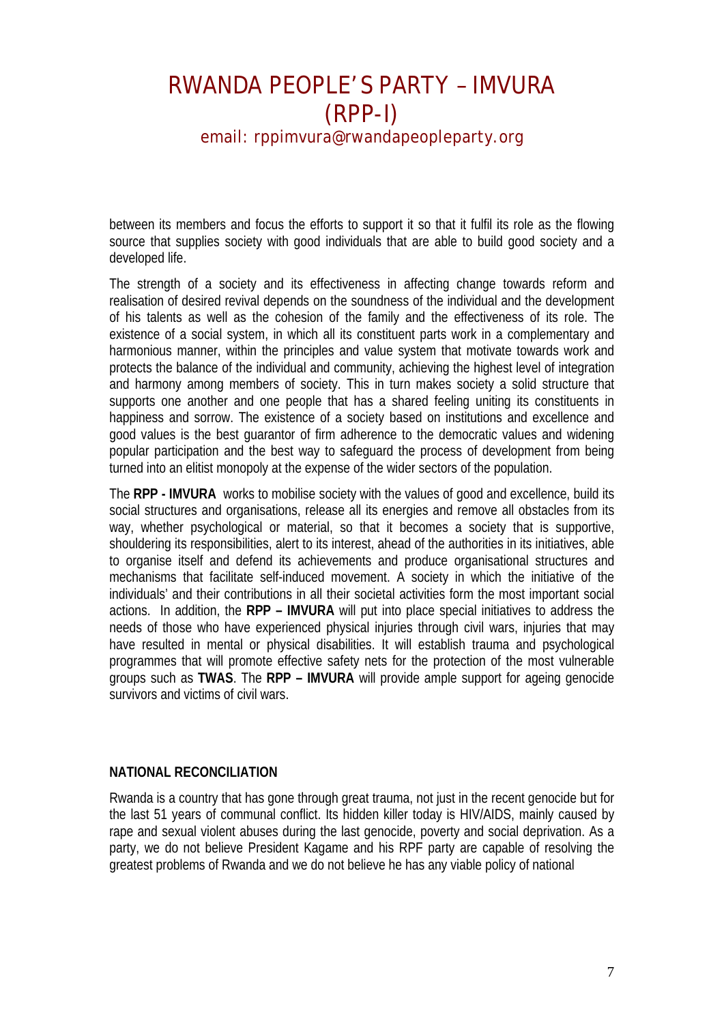between its members and focus the efforts to support it so that it fulfil its role as the flowing source that supplies society with good individuals that are able to build good society and a developed life.

The strength of a society and its effectiveness in affecting change towards reform and realisation of desired revival depends on the soundness of the individual and the development of his talents as well as the cohesion of the family and the effectiveness of its role. The existence of a social system, in which all its constituent parts work in a complementary and harmonious manner, within the principles and value system that motivate towards work and protects the balance of the individual and community, achieving the highest level of integration and harmony among members of society. This in turn makes society a solid structure that supports one another and one people that has a shared feeling uniting its constituents in happiness and sorrow. The existence of a society based on institutions and excellence and good values is the best guarantor of firm adherence to the democratic values and widening popular participation and the best way to safeguard the process of development from being turned into an elitist monopoly at the expense of the wider sectors of the population.

The **RPP - IMVURA** works to mobilise society with the values of good and excellence, build its social structures and organisations, release all its energies and remove all obstacles from its way, whether psychological or material, so that it becomes a society that is supportive, shouldering its responsibilities, alert to its interest, ahead of the authorities in its initiatives, able to organise itself and defend its achievements and produce organisational structures and mechanisms that facilitate self-induced movement. A society in which the initiative of the individuals' and their contributions in all their societal activities form the most important social actions. In addition, the **RPP – IMVURA** will put into place special initiatives to address the needs of those who have experienced physical injuries through civil wars, injuries that may have resulted in mental or physical disabilities. It will establish trauma and psychological programmes that will promote effective safety nets for the protection of the most vulnerable groups such as **TWAS**. The **RPP – IMVURA** will provide ample support for ageing genocide survivors and victims of civil wars.

#### **NATIONAL RECONCILIATION**

Rwanda is a country that has gone through great trauma, not just in the recent genocide but for the last 51 years of communal conflict. Its hidden killer today is HIV/AIDS, mainly caused by rape and sexual violent abuses during the last genocide, poverty and social deprivation. As a party, we do not believe President Kagame and his RPF party are capable of resolving the greatest problems of Rwanda and we do not believe he has any viable policy of national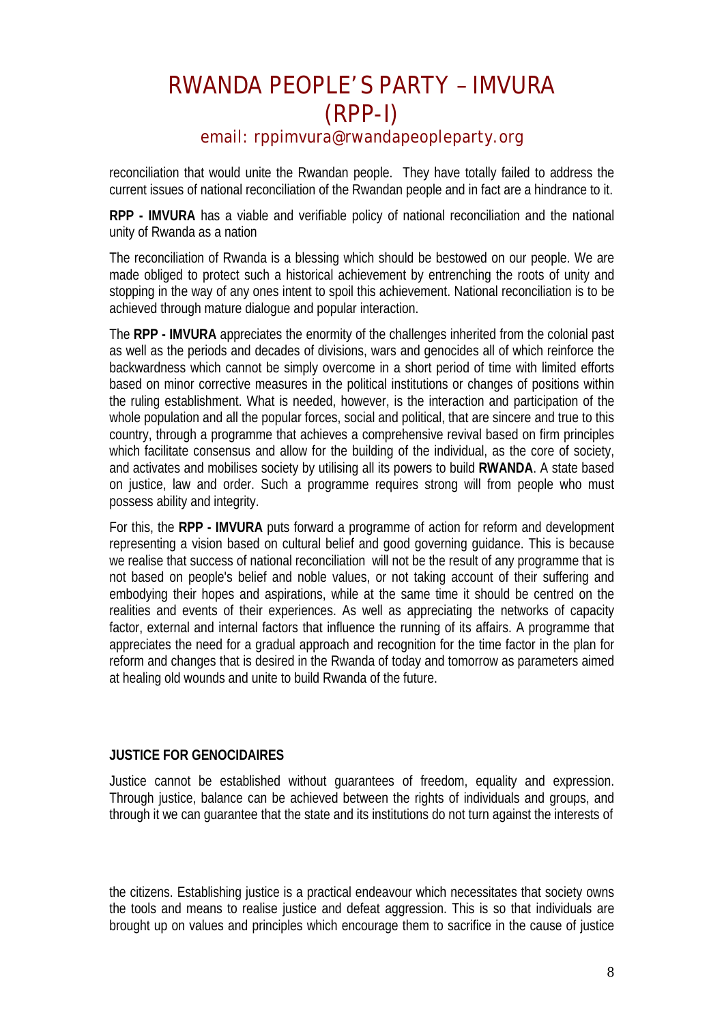reconciliation that would unite the Rwandan people. They have totally failed to address the current issues of national reconciliation of the Rwandan people and in fact are a hindrance to it.

**RPP - IMVURA** has a viable and verifiable policy of national reconciliation and the national unity of Rwanda as a nation

The reconciliation of Rwanda is a blessing which should be bestowed on our people. We are made obliged to protect such a historical achievement by entrenching the roots of unity and stopping in the way of any ones intent to spoil this achievement. National reconciliation is to be achieved through mature dialogue and popular interaction.

The **RPP - IMVURA** appreciates the enormity of the challenges inherited from the colonial past as well as the periods and decades of divisions, wars and genocides all of which reinforce the backwardness which cannot be simply overcome in a short period of time with limited efforts based on minor corrective measures in the political institutions or changes of positions within the ruling establishment. What is needed, however, is the interaction and participation of the whole population and all the popular forces, social and political, that are sincere and true to this country, through a programme that achieves a comprehensive revival based on firm principles which facilitate consensus and allow for the building of the individual, as the core of society, and activates and mobilises society by utilising all its powers to build **RWANDA**. A state based on justice, law and order. Such a programme requires strong will from people who must possess ability and integrity.

For this, the **RPP - IMVURA** puts forward a programme of action for reform and development representing a vision based on cultural belief and good governing guidance. This is because we realise that success of national reconciliation will not be the result of any programme that is not based on people's belief and noble values, or not taking account of their suffering and embodying their hopes and aspirations, while at the same time it should be centred on the realities and events of their experiences. As well as appreciating the networks of capacity factor, external and internal factors that influence the running of its affairs. A programme that appreciates the need for a gradual approach and recognition for the time factor in the plan for reform and changes that is desired in the Rwanda of today and tomorrow as parameters aimed at healing old wounds and unite to build Rwanda of the future.

#### **JUSTICE FOR GENOCIDAIRES**

Justice cannot be established without guarantees of freedom, equality and expression. Through justice, balance can be achieved between the rights of individuals and groups, and through it we can guarantee that the state and its institutions do not turn against the interests of

the citizens. Establishing justice is a practical endeavour which necessitates that society owns the tools and means to realise justice and defeat aggression. This is so that individuals are brought up on values and principles which encourage them to sacrifice in the cause of justice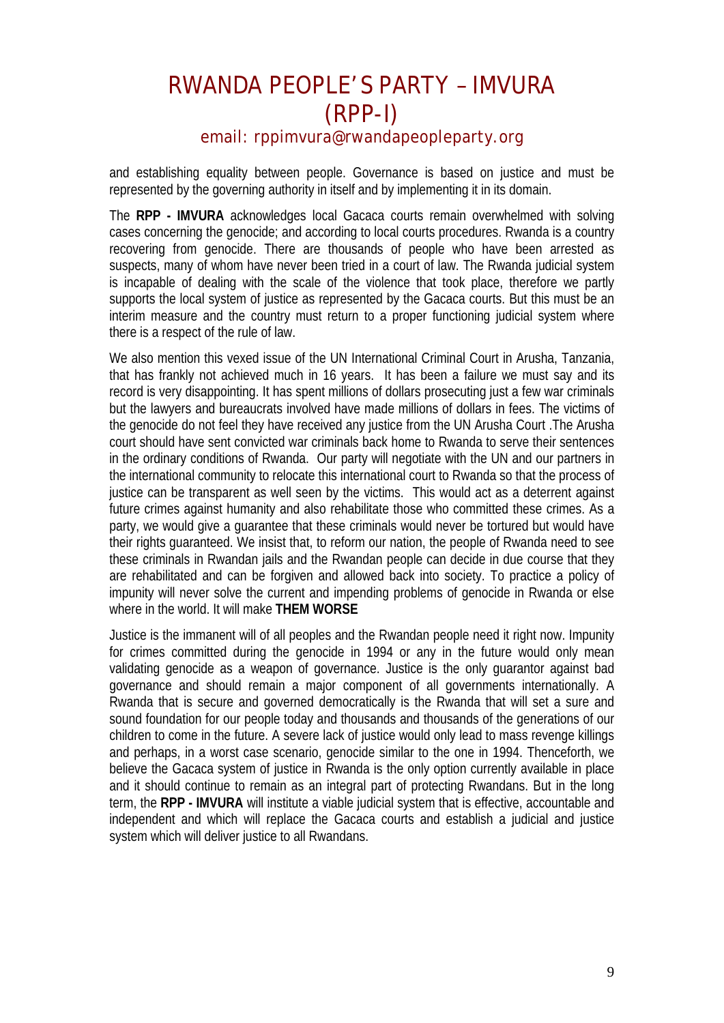and establishing equality between people. Governance is based on justice and must be represented by the governing authority in itself and by implementing it in its domain.

The **RPP - IMVURA** acknowledges local Gacaca courts remain overwhelmed with solving cases concerning the genocide; and according to local courts procedures. Rwanda is a country recovering from genocide. There are thousands of people who have been arrested as suspects, many of whom have never been tried in a court of law. The Rwanda judicial system is incapable of dealing with the scale of the violence that took place, therefore we partly supports the local system of justice as represented by the Gacaca courts. But this must be an interim measure and the country must return to a proper functioning judicial system where there is a respect of the rule of law.

We also mention this vexed issue of the UN International Criminal Court in Arusha, Tanzania, that has frankly not achieved much in 16 years. It has been a failure we must say and its record is very disappointing. It has spent millions of dollars prosecuting just a few war criminals but the lawyers and bureaucrats involved have made millions of dollars in fees. The victims of the genocide do not feel they have received any justice from the UN Arusha Court .The Arusha court should have sent convicted war criminals back home to Rwanda to serve their sentences in the ordinary conditions of Rwanda. Our party will negotiate with the UN and our partners in the international community to relocate this international court to Rwanda so that the process of justice can be transparent as well seen by the victims. This would act as a deterrent against future crimes against humanity and also rehabilitate those who committed these crimes. As a party, we would give a guarantee that these criminals would never be tortured but would have their rights guaranteed. We insist that, to reform our nation, the people of Rwanda need to see these criminals in Rwandan jails and the Rwandan people can decide in due course that they are rehabilitated and can be forgiven and allowed back into society. To practice a policy of impunity will never solve the current and impending problems of genocide in Rwanda or else where in the world. It will make **THEM WORSE**

Justice is the immanent will of all peoples and the Rwandan people need it right now. Impunity for crimes committed during the genocide in 1994 or any in the future would only mean validating genocide as a weapon of governance. Justice is the only guarantor against bad governance and should remain a major component of all governments internationally. A Rwanda that is secure and governed democratically is the Rwanda that will set a sure and sound foundation for our people today and thousands and thousands of the generations of our children to come in the future. A severe lack of justice would only lead to mass revenge killings and perhaps, in a worst case scenario, genocide similar to the one in 1994. Thenceforth, we believe the Gacaca system of justice in Rwanda is the only option currently available in place and it should continue to remain as an integral part of protecting Rwandans. But in the long term, the **RPP - IMVURA** will institute a viable judicial system that is effective, accountable and independent and which will replace the Gacaca courts and establish a judicial and justice system which will deliver justice to all Rwandans.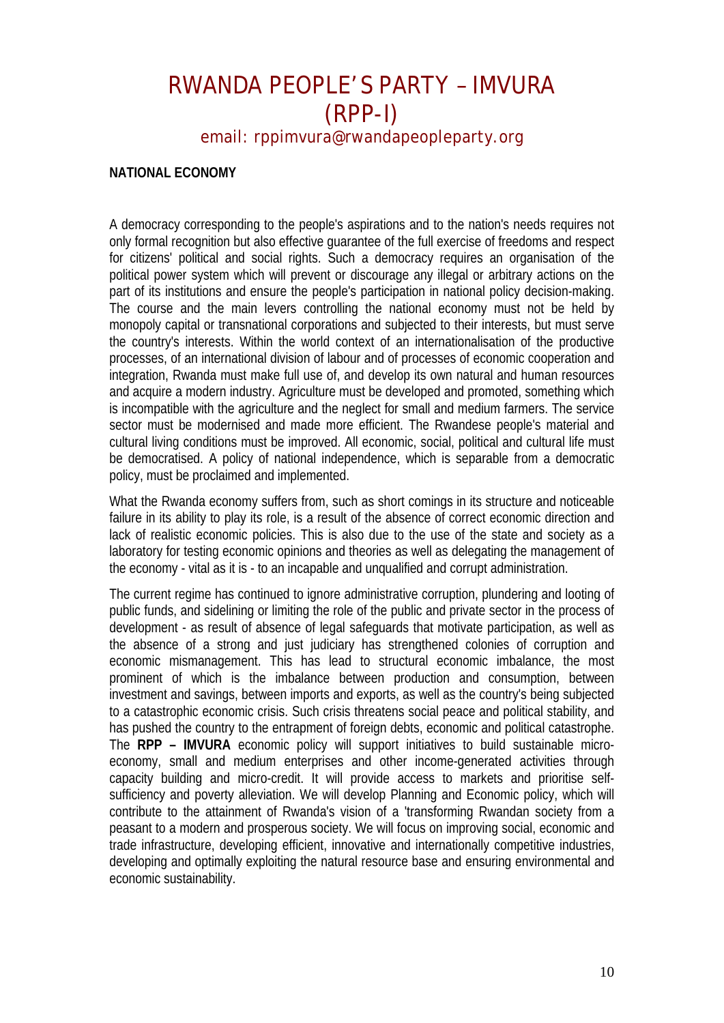#### **NATIONAL ECONOMY**

A democracy corresponding to the people's aspirations and to the nation's needs requires not only formal recognition but also effective guarantee of the full exercise of freedoms and respect for citizens' political and social rights. Such a democracy requires an organisation of the political power system which will prevent or discourage any illegal or arbitrary actions on the part of its institutions and ensure the people's participation in national policy decision-making. The course and the main levers controlling the national economy must not be held by monopoly capital or transnational corporations and subjected to their interests, but must serve the country's interests. Within the world context of an internationalisation of the productive processes, of an international division of labour and of processes of economic cooperation and integration, Rwanda must make full use of, and develop its own natural and human resources and acquire a modern industry. Agriculture must be developed and promoted, something which is incompatible with the agriculture and the neglect for small and medium farmers. The service sector must be modernised and made more efficient. The Rwandese people's material and cultural living conditions must be improved. All economic, social, political and cultural life must be democratised. A policy of national independence, which is separable from a democratic policy, must be proclaimed and implemented.

What the Rwanda economy suffers from, such as short comings in its structure and noticeable failure in its ability to play its role, is a result of the absence of correct economic direction and lack of realistic economic policies. This is also due to the use of the state and society as a laboratory for testing economic opinions and theories as well as delegating the management of the economy - vital as it is - to an incapable and unqualified and corrupt administration.

The current regime has continued to ignore administrative corruption, plundering and looting of public funds, and sidelining or limiting the role of the public and private sector in the process of development - as result of absence of legal safeguards that motivate participation, as well as the absence of a strong and just judiciary has strengthened colonies of corruption and economic mismanagement. This has lead to structural economic imbalance, the most prominent of which is the imbalance between production and consumption, between investment and savings, between imports and exports, as well as the country's being subjected to a catastrophic economic crisis. Such crisis threatens social peace and political stability, and has pushed the country to the entrapment of foreign debts, economic and political catastrophe. The **RPP – IMVURA** economic policy will support initiatives to build sustainable microeconomy, small and medium enterprises and other income-generated activities through capacity building and micro-credit. It will provide access to markets and prioritise selfsufficiency and poverty alleviation. We will develop Planning and Economic policy, which will contribute to the attainment of Rwanda's vision of a 'transforming Rwandan society from a peasant to a modern and prosperous society. We will focus on improving social, economic and trade infrastructure, developing efficient, innovative and internationally competitive industries, developing and optimally exploiting the natural resource base and ensuring environmental and economic sustainability.